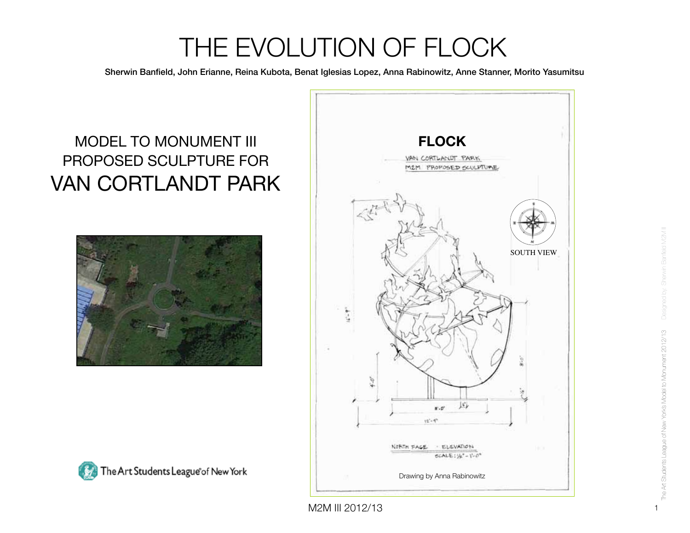Sherwin Banfield, John Erianne, Reina Kubota, Benat Iglesias Lopez, Anna Rabinowitz, Anne Stanner, Morito Yasumitsu

### MODEL TO MONUMENT III PROPOSED SCULPTURE FOR VAN CORTLANDT PARK







Designed by: Sherwin Banfield M2M III The Art Students League of New Yorks Model to Monument 2012/13 The Art Students League of New York's Model to Monument 2012/13

1

M2M III 2012/13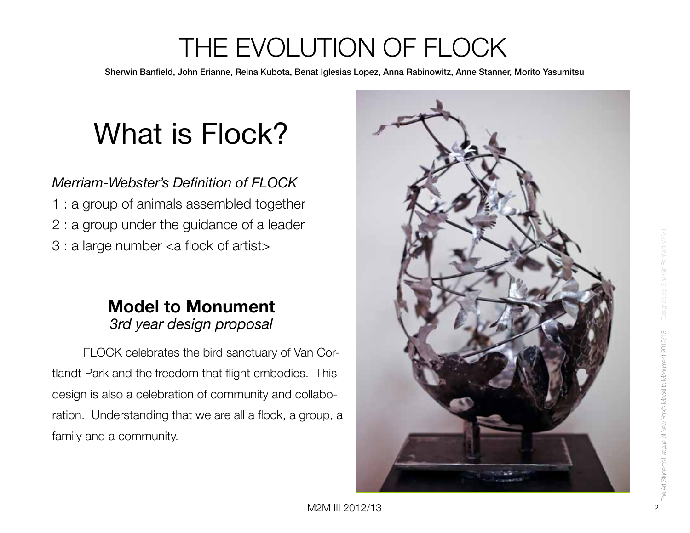Sherwin Banfield, John Erianne, Reina Kubota, Benat Iglesias Lopez, Anna Rabinowitz, Anne Stanner, Morito Yasumitsu

# What is Flock?

#### *Merriam-Webster's Definition of FLOCK*

1 : a group of animals assembled together 2 : a group under the guidance of a leader 3 : a large number <a flock of artist>

#### **Model to Monument**  *3rd year design proposal*

FLOCK celebrates the bird sanctuary of Van Cortlandt Park and the freedom that flight embodies. This design is also a celebration of community and collaboration. Understanding that we are all a flock, a group, a family and a community.

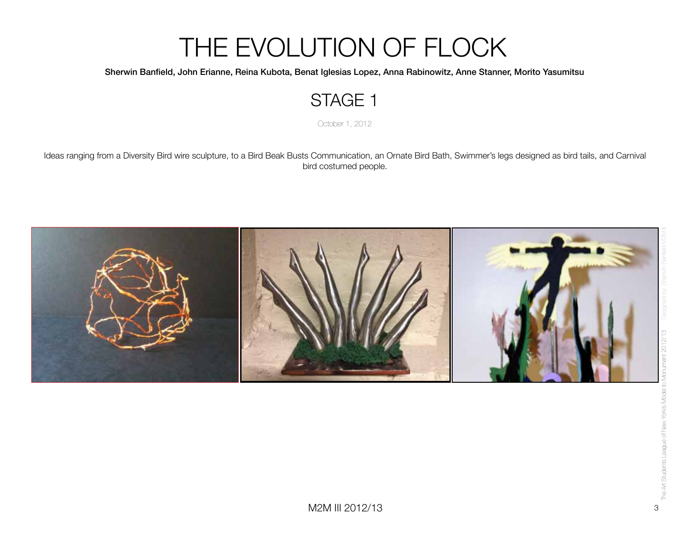#### Sherwin Banfield, John Erianne, Reina Kubota, Benat Iglesias Lopez, Anna Rabinowitz, Anne Stanner, Morito Yasumitsu

#### STAGE 1

October 1, 2012

Ideas ranging from a Diversity Bird wire sculpture, to a Bird Beak Busts Communication, an Ornate Bird Bath, Swimmer's legs designed as bird tails, and Carnival bird costumed people.

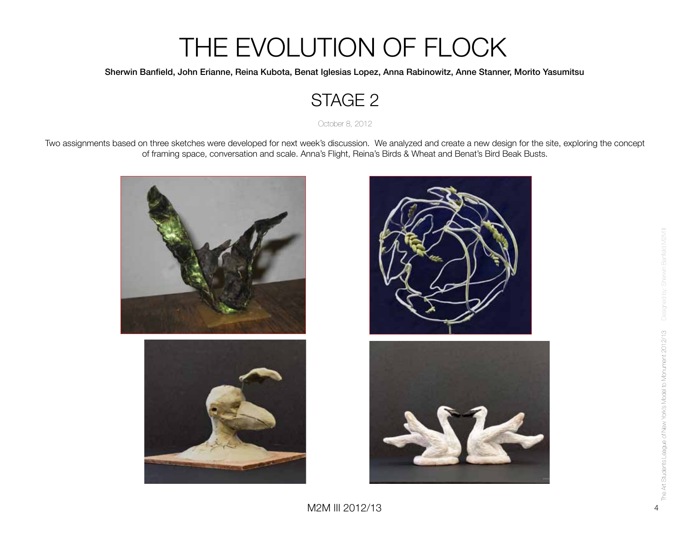#### Sherwin Banfield, John Erianne, Reina Kubota, Benat Iglesias Lopez, Anna Rabinowitz, Anne Stanner, Morito Yasumitsu

#### STAGE 2

October 8, 2012

Two assignments based on three sketches were developed for next week's discussion. We analyzed and create a new design for the site, exploring the concept of framing space, conversation and scale. Anna's Flight, Reina's Birds & Wheat and Benat's Bird Beak Busts.





Designed by: Sherwin Banfield M2M III The Art Students League of New York's Model to Monument 2012/13 The Art Students League of New York's Model to Monument 2012/13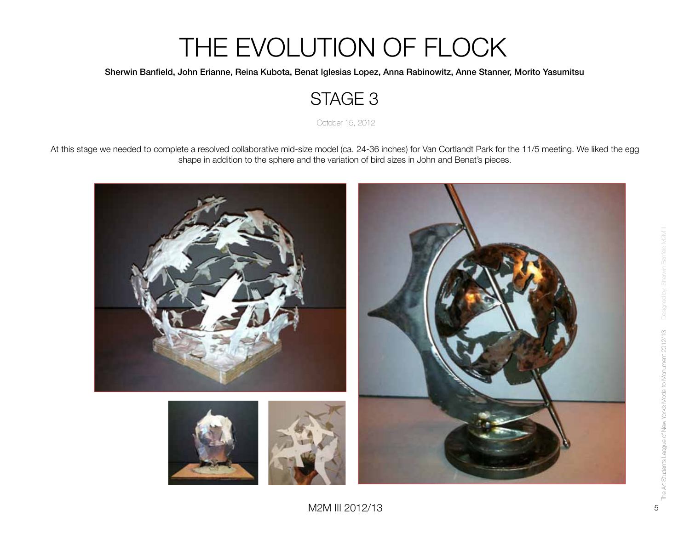#### Sherwin Banfield, John Erianne, Reina Kubota, Benat Iglesias Lopez, Anna Rabinowitz, Anne Stanner, Morito Yasumitsu

#### STAGE 3

October 15, 2012

At this stage we needed to complete a resolved collaborative mid-size model (ca. 24-36 inches) for Van Cortlandt Park for the 11/5 meeting. We liked the egg shape in addition to the sphere and the variation of bird sizes in John and Benat's pieces.

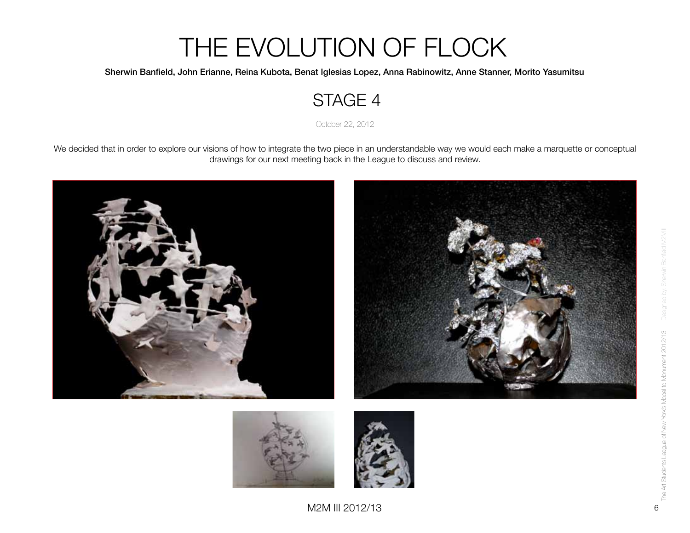#### Sherwin Banfield, John Erianne, Reina Kubota, Benat Iglesias Lopez, Anna Rabinowitz, Anne Stanner, Morito Yasumitsu

#### STAGE 4

October 22, 2012

We decided that in order to explore our visions of how to integrate the two piece in an understandable way we would each make a marquette or conceptual drawings for our next meeting back in the League to discuss and review.



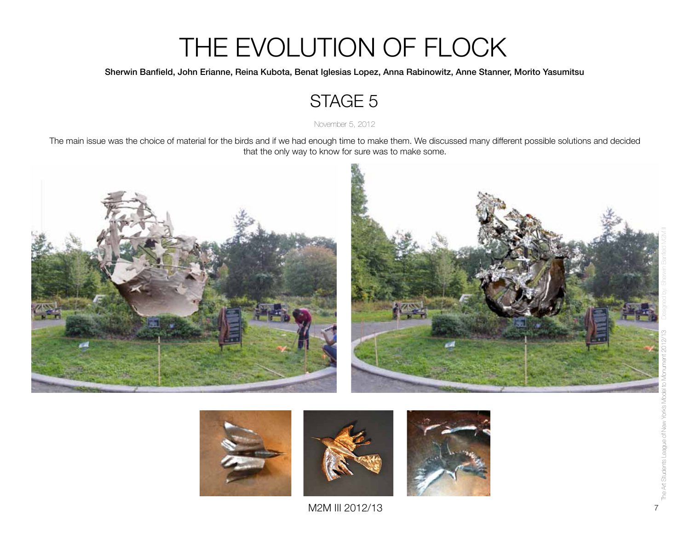#### Sherwin Banfield, John Erianne, Reina Kubota, Benat Iglesias Lopez, Anna Rabinowitz, Anne Stanner, Morito Yasumitsu

#### STAGE 5

November 5, 2012

The main issue was the choice of material for the birds and if we had enough time to make them. We discussed many different possible solutions and decided that the only way to know for sure was to make some.





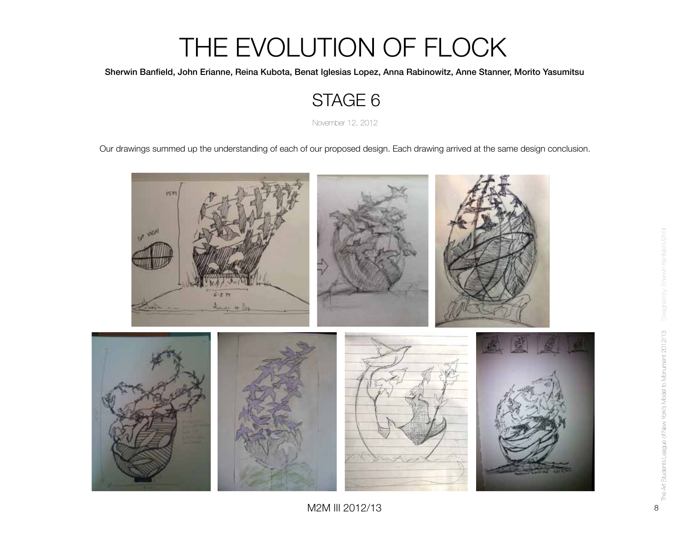Sherwin Banfield, John Erianne, Reina Kubota, Benat Iglesias Lopez, Anna Rabinowitz, Anne Stanner, Morito Yasumitsu

#### STAGE 6

November 12, 2012

Our drawings summed up the understanding of each of our proposed design. Each drawing arrived at the same design conclusion.



M2M III 2012/13 8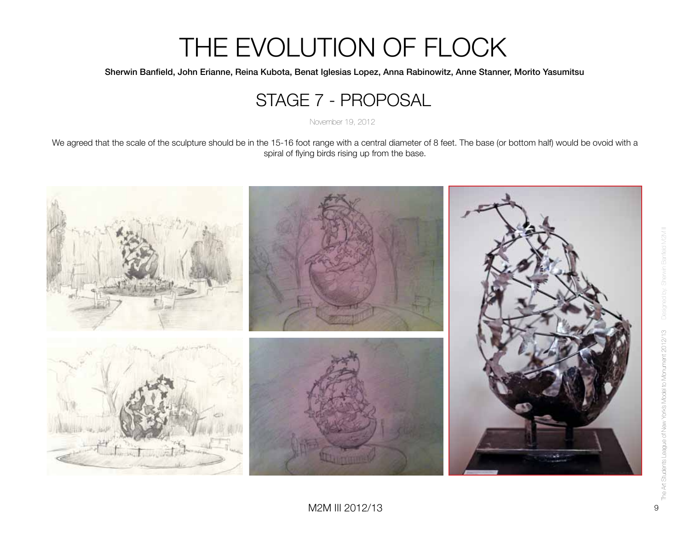Sherwin Banfield, John Erianne, Reina Kubota, Benat Iglesias Lopez, Anna Rabinowitz, Anne Stanner, Morito Yasumitsu

#### STAGE 7 - PROPOSAL

November 19, 2012

We agreed that the scale of the sculpture should be in the 15-16 foot range with a central diameter of 8 feet. The base (or bottom half) would be ovoid with a spiral of flying birds rising up from the base.

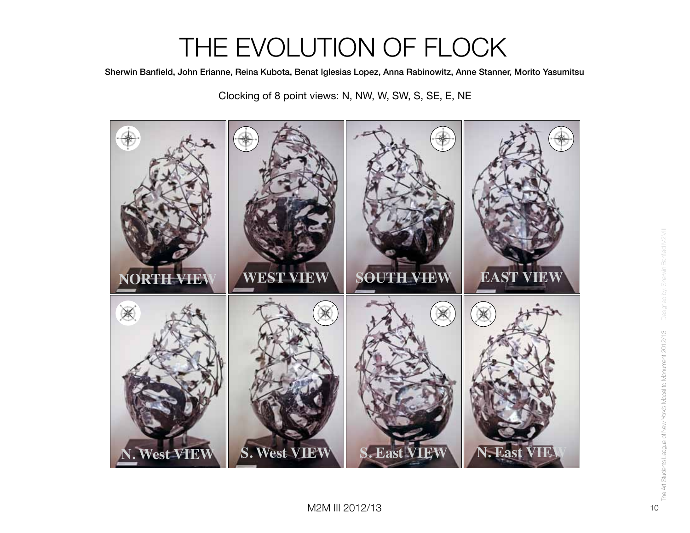Sherwin Banfield, John Erianne, Reina Kubota, Benat Iglesias Lopez, Anna Rabinowitz, Anne Stanner, Morito Yasumitsu

Clocking of 8 point views: N, NW, W, SW, S, SE, E, NE

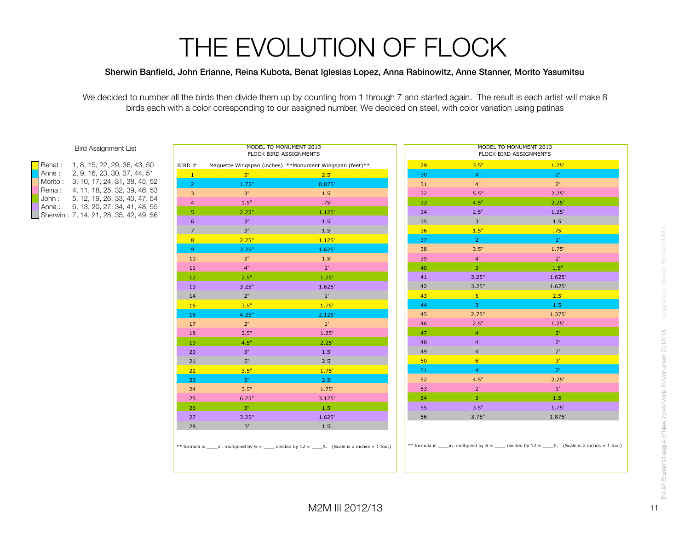#### Sherwin Banfield, John Erianne, Reina Kubota, Benat Iglesias Lopez, Anna Rabinowitz, Anne Stanner, Morito Yasumitsu

We decided to number all the birds then divide them up by counting from 1 through 7 and started again. The result is each artist will make 8 birds each with a color coresponding to our assigned number. We decided on steel, with color variation using patinas

|  | <b>Bird Assignment List</b> |  |
|--|-----------------------------|--|
|--|-----------------------------|--|

|  | Benat:   | 1, 8, 15, 22, 29, 36, 43, 50           |
|--|----------|----------------------------------------|
|  | l Anne : | 2, 9, 16, 23, 30, 37, 44, 51           |
|  | Morito:  | 3, 10, 17, 24, 31, 38, 45, 52          |
|  | Reina:   | 4, 11, 18, 25, 32, 39, 46, 53          |
|  | John:    | 5, 12, 19, 26, 33, 40, 47, 54          |
|  | l Anna : | 6, 13, 20, 27, 34, 41, 48, 55          |
|  |          | Sherwin: 7, 14, 21, 28, 35, 42, 49, 56 |
|  |          |                                        |

|                | MODEL TO MONUMENT 2013<br>FLOCK BIRD ASSIGNMENTS        |               |                 | MODEL TO MONUMENT 2013<br>FLOCK BIRD ASSIGNMENTS |                |
|----------------|---------------------------------------------------------|---------------|-----------------|--------------------------------------------------|----------------|
| BIRD #         | Maquette Wingspan (inches) **Monument Wingspan (feet)** |               | 29              | 3.5"                                             | 1.75'          |
| $\mathbf{1}$   | 5"                                                      | 2.5'          | 30              | 4"                                               | $2^{\circ}$    |
| $\overline{2}$ | 1.75"                                                   | 0.875'        | 31              | 4"                                               | $2^{\circ}$    |
| 3              | 3"                                                      | 1.5'          | 32              | 5.5"                                             | 2.75'          |
| $\overline{4}$ | 1.5"                                                    | .75'          | 33              | 4.5"                                             | 2.25'          |
| 5              | 2.25"                                                   | 1.125'        | 34              | 2.5"                                             | 1.25'          |
| 6              | 3"                                                      | 1.5'          | 35              | 3"                                               | 1.5'           |
| $\overline{7}$ | 3"                                                      | 1.5'          | 36 <sup>°</sup> | 1.5"                                             | .75'           |
| 8 <sup>°</sup> | 2.25"                                                   | 1.125'        | 37              | 2"                                               | $1^{\circ}$    |
| $\overline{9}$ | 3.25"                                                   | 1.625'        | 38              | 3.5"                                             | 1.75'          |
| 10             | 3"                                                      | $1.5^{\circ}$ | 39              | 4"                                               | $2^{\circ}$    |
| 11             | 4"                                                      | $2^{\circ}$   | 40              | 3"                                               | 1.5"           |
| 12             | 2.5"                                                    | 1.25'         | 41              | 3.25"                                            | 1.625'         |
| 13             | 3.25"                                                   | 1.625'        | 42              | 3.25"                                            | 1.625'         |
| 14             | 2"                                                      | $1^{\circ}$   | 43              | $-5"$                                            | 2.5'           |
| 15             | 3.5"                                                    | 1.75'         | 44              | 3"                                               | 1.5            |
| 16             | 4.25"                                                   | 2.125'        | 45              | 2.75"                                            | 1.375'         |
| 17             | 2"                                                      | $1^{\prime}$  | 46              | 2.5"                                             | 1.25'          |
| 18             | 2.5"                                                    | 1.25'         | 47              | 4"                                               | 2 <sup>1</sup> |
| 19             | 4.5"                                                    | 2.25'         | 48              | 4"                                               | $2^{\circ}$    |
| 20             | 3"                                                      | 1.5'          | 49              | 4"                                               | $2^{\prime}$   |
| 21             | 5"                                                      | 2.5'          | 50              | 6"                                               | 3 <sup>1</sup> |
| 22             | 3.5"                                                    | 1.75'         | 51              | 4"                                               | $2^{\circ}$    |
| 23             | 5"                                                      | 2.5'          | 52              | 4.5"                                             | 2.25'          |
| 24             | 3.5"                                                    | 1.75'         | 53              | 2"                                               | $1^{\circ}$    |
| 25             | 6.25"                                                   | 3.125'        | 54              | 3"                                               | 1.5'           |
| 26             | 3"                                                      | 1.5'          | 55              | 3.5"                                             | 1.75'          |
| 27             | 3.25"                                                   | 1.625'        | 56              | 3.75"                                            | 1.875'         |
| 28             | 3'                                                      | 1.5'          |                 |                                                  |                |

# Designed by: Sherwin Banfeld M2M II Designed by: Sherwin Banfield M2M III The Art Students League of New York's Model to Monument 2012/13 The Art Students League of New York's Model to Monument 2012/13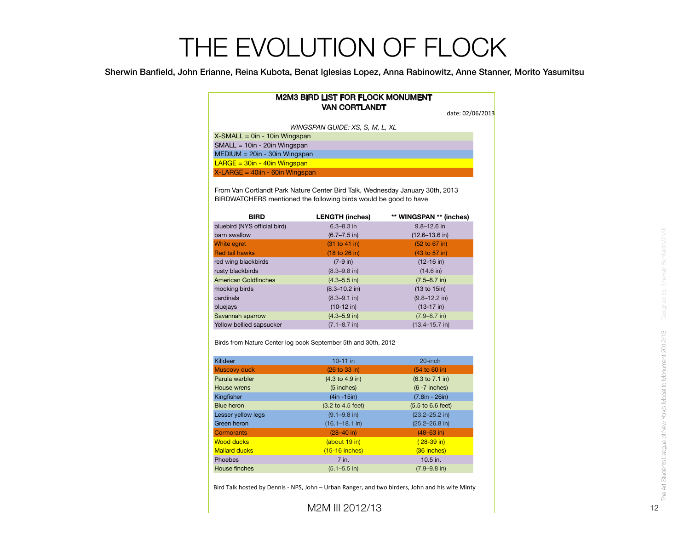Sherwin Banfield, John Erianne, Reina Kubota, Benat Iglesias Lopez, Anna Rabinowitz, Anne Stanner, Morito Yasumitsu

| <b>M2M3 BIRD LIST FOR FLOCK MONUMENT</b><br><b>VAN CORTLANDT</b>            | date: 02/06/2013 |
|-----------------------------------------------------------------------------|------------------|
| WINGSPAN GUIDE: XS, S, M, L, XL                                             |                  |
| $X$ -SMALL = 0in - 10in Wingspan                                            |                  |
| $SMALL = 10in - 20in Winqspan$                                              |                  |
| $MEDIUM = 20in - 30in Winqspan$                                             |                  |
| $LARGE = 30in - 40in Wingspan$                                              |                  |
| $X$ -LARGE = 40iin - 60in Wingspan                                          |                  |
| From Van Cortlandt Park Nature Center Bird Talk Wednesday January 30th 2013 |                  |

Genter Bird Talk, Wednesday January BIRDWATCHERS mentioned the following birds would be good to have

| <b>BIRD</b>                  | <b>LENGTH (inches)</b>           | ** WINGSPAN ** (inches) |
|------------------------------|----------------------------------|-------------------------|
| bluebird (NYS official bird) | $6.3 - 8.3$ in                   | $9.8 - 12.6$ in         |
| barn swallow                 | $(6.7 - 7.5)$ in                 | $(12.6 - 13.6)$ in      |
| <b>White egret</b>           | (31 to 41 in)                    | (52 to 67 in)           |
| <b>Red tail hawks</b>        | $(18 \text{ to } 26 \text{ in})$ | (43 to 57 in)           |
| red wing blackbirds          | $(7-9)$ in)                      | $(12-16)$ in)           |
| rusty blackbirds             | $(8.3 - 9.8)$ in)                | $(14.6 \text{ in})$     |
| American Goldfinches         | $(4.3 - 5.5)$ in)                | $(7.5 - 8.7)$ in)       |
| mocking birds                | $(8.3 - 10.2)$ in)               | (13 to 15in)            |
| cardinals                    | $(8.3 - 9.1)$ in                 | $(9.8 - 12.2)$ in       |
| bluejays                     | $(10-12)$ in)                    | $(13-17)$ in)           |
| Savannah sparrow             | $(4.3 - 5.9)$ in                 | $(7.9 - 8.7)$ in        |
| Yellow bellied sapsucker     | $(7.1 - 8.7)$ in                 | $(13.4 - 15.7)$ in)     |
|                              |                                  |                         |

Birds from Nature Center log book September 5th and 30th, 2012

| Killdeer             | $10-11$ in                         | 20-inch                              |
|----------------------|------------------------------------|--------------------------------------|
| <b>Muscovy duck</b>  | (26 to 33 in)                      | (54 to 60 in)                        |
| Parula warbler       | $(4.3 \text{ to } 4.9 \text{ in})$ | $(6.3 \text{ to } 7.1 \text{ in})$   |
| House wrens          | $(5$ inches)                       | $(6 - 7$ inches)                     |
| Kingfisher           | $(4in -15in)$                      | $(7.8in - 26in)$                     |
| <b>Blue heron</b>    | (3.2 to 4.5 feet)                  | $(5.5 \text{ to } 6.6 \text{ feet})$ |
| Lesser yellow legs   | $(9.1 - 9.8)$ in)                  | $(23.2 - 25.2)$ in)                  |
| Green heron          | $(16.1 - 18.1)$ in                 | $(25.2 - 26.8)$ in                   |
| Cormorants           | $(28-40)$ in)                      | $(48 - 63)$ in)                      |
| <b>Wood ducks</b>    | (about 19 in)                      | $(28-39)$ in)                        |
| <b>Mallard ducks</b> | $(15-16$ inches)                   | (36 inches)                          |
| Phoebes              | 7 in.                              | 10.5 in.                             |
| House finches        | $(5.1 - 5.5)$ in)                  | $(7.9 - 9.8)$ in)                    |

Bird Talk hosted by Dennis - NPS, John - Urban Ranger, and two birders, John and his wife Minty

M2M III 2012/13 12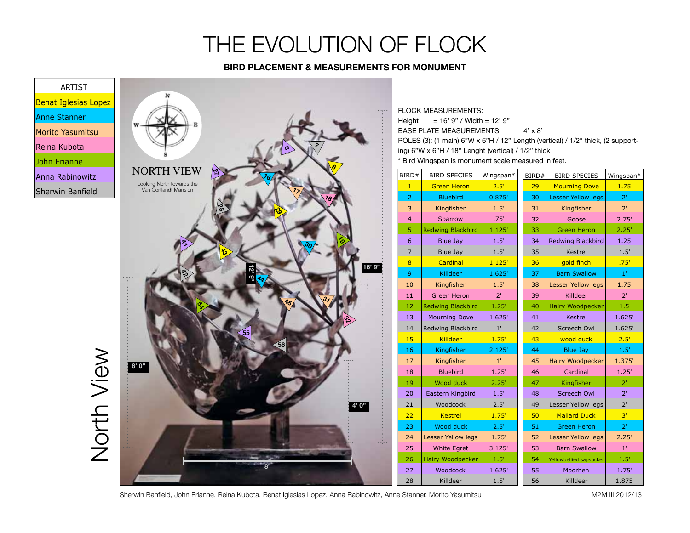#### **BIRD PLACEMENT & MEASUREMENTS FOR MONUMENT**



Sherwin Banfield, John Erianne, Reina Kubota, Benat Iglesias Lopez, Anna Rabinowitz, Anne Stanner, Morito Yasumitsu Mammus Mammus M2M III 2012/13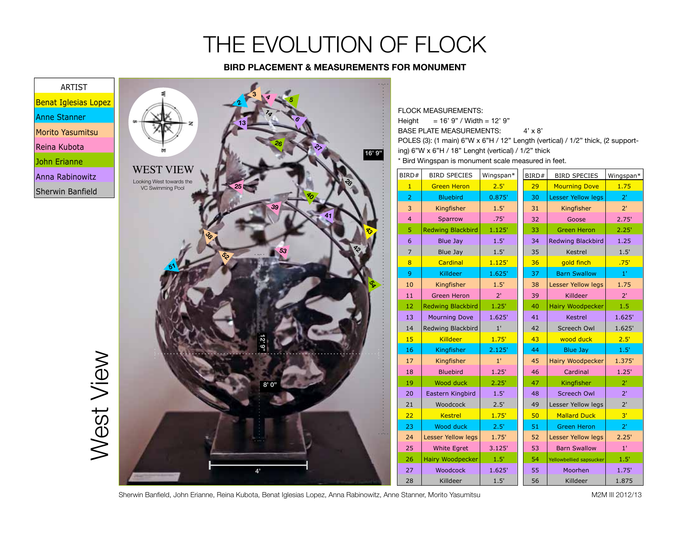#### **BIRD PLACEMENT & MEASUREMENTS FOR MONUMENT**



Sherwin Banfield, John Erianne, Reina Kubota, Benat Iglesias Lopez, Anna Rabinowitz, Anne Stanner, Morito Yasumitsu Mammus metama M2M III 2012/13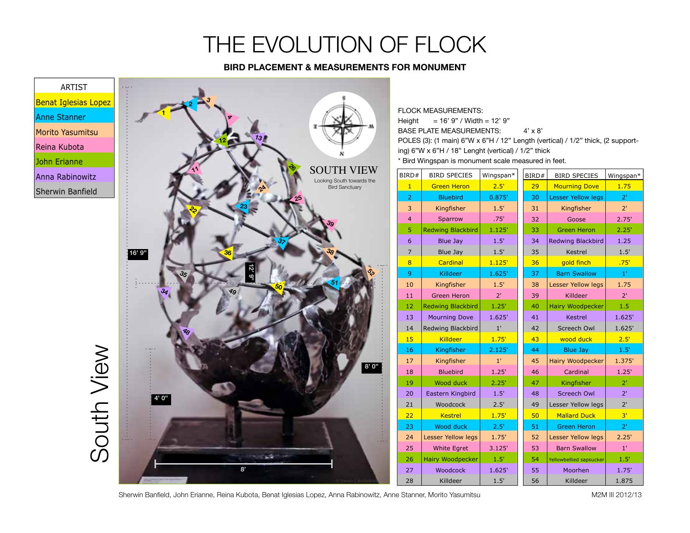#### **BIRD PLACEMENT & MEASUREMENTS FOR MONUMENT**



Sherwin Banfield, John Erianne, Reina Kubota, Benat Iglesias Lopez, Anna Rabinowitz, Anne Stanner, Morito Yasumitsu Mammus metama M2M III 2012/13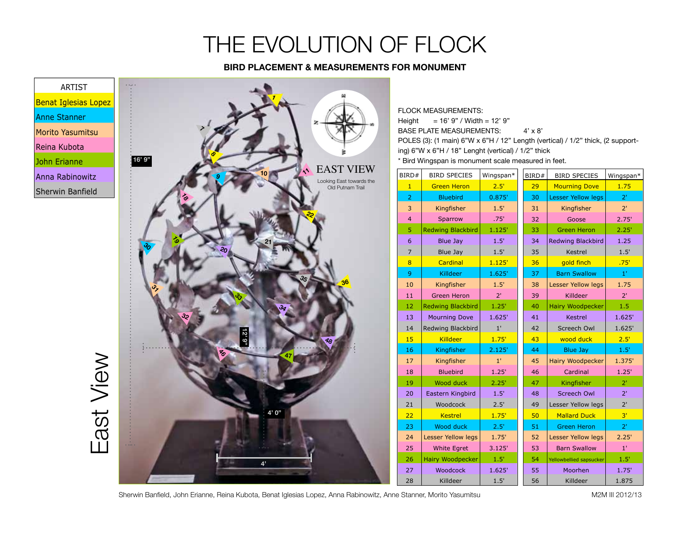#### **BIRD PLACEMENT & MEASUREMENTS FOR MONUMENT**



Sherwin Banfield, John Erianne, Reina Kubota, Benat Iglesias Lopez, Anna Rabinowitz, Anne Stanner, Morito Yasumitsu Mammus metama M2M III 2012/13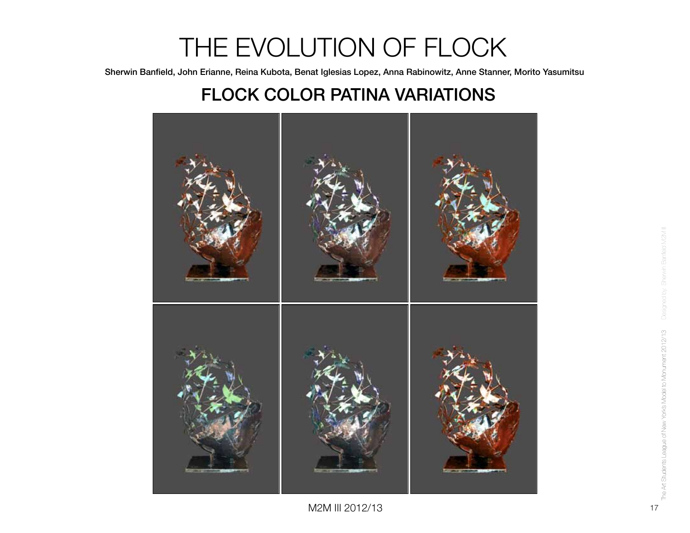Sherwin Banfield, John Erianne, Reina Kubota, Benat Iglesias Lopez, Anna Rabinowitz, Anne Stanner, Morito Yasumitsu

#### FLOCK COLOR PATINA VARIATIONS